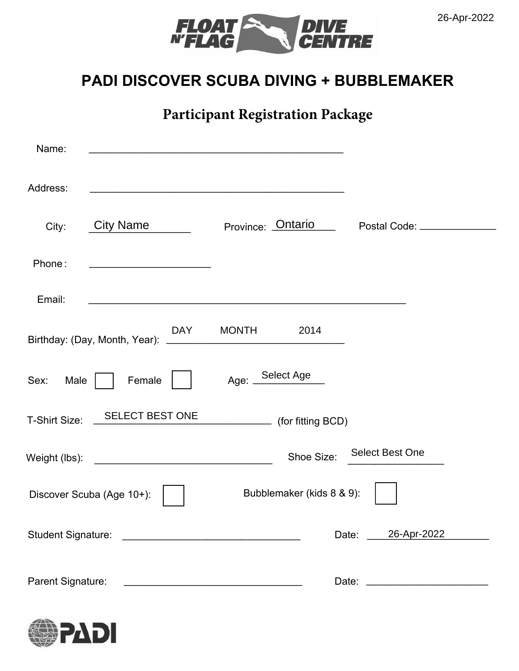



### **PADI DISCOVER SCUBA DIVING + BUBBLEMAKER**

**Participant Registration Package**

| Name:             | <u>and the company of the company of the company of the company of the company of the company of the company of the company of the company of the company of the company of the company of the company of the company of the com</u> |                           |                             |
|-------------------|--------------------------------------------------------------------------------------------------------------------------------------------------------------------------------------------------------------------------------------|---------------------------|-----------------------------|
| Address:          |                                                                                                                                                                                                                                      |                           |                             |
| City:             | City Name                                                                                                                                                                                                                            | Province: Ontario         | Postal Code: _____________  |
| Phone:            |                                                                                                                                                                                                                                      |                           |                             |
| Email:            |                                                                                                                                                                                                                                      |                           |                             |
|                   | DAY                                                                                                                                                                                                                                  | <b>MONTH</b><br>2014      |                             |
| Sex:<br>Male      | Female                                                                                                                                                                                                                               | Select Age<br>Age: $\_\$  |                             |
| T-Shirt Size:     | <b>SELECT BEST ONE</b>                                                                                                                                                                                                               | (for fitting BCD)         |                             |
| Weight (lbs):     |                                                                                                                                                                                                                                      | Shoe Size:                | <b>Select Best One</b>      |
|                   | Discover Scuba (Age 10+):                                                                                                                                                                                                            | Bubblemaker (kids 8 & 9): |                             |
|                   |                                                                                                                                                                                                                                      |                           | 26-Apr-2022<br>Date: $\_\_$ |
| Parent Signature: | <u> 1980 - John Stein, mars and de Brandenburg and de Brandenburg and de Brandenburg and de Brandenburg and de Br</u>                                                                                                                |                           |                             |

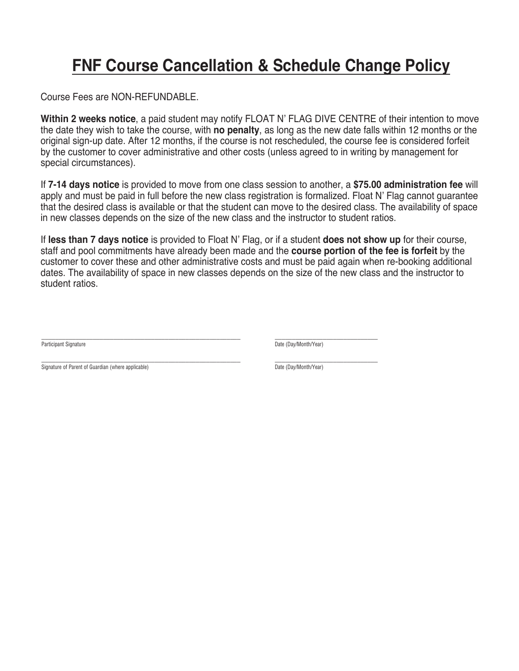# **FNF Course Cancellation & Schedule Change Policy**

Course Fees are NON-REFUNDABLE.

**Within 2 weeks notice**, a paid student may notify FLOAT N' FLAG DIVE CENTRE of their intention to move the date they wish to take the course, with **no penalty**, as long as the new date falls within 12 months or the original sign-up date. After 12 months, if the course is not rescheduled, the course fee is considered forfeit by the customer to cover administrative and other costs (unless agreed to in writing by management for special circumstances).

If **7-14 days notice** is provided to move from one class session to another, a **\$75.00 administration fee** will apply and must be paid in full before the new class registration is formalized. Float N' Flag cannot guarantee that the desired class is available or that the student can move to the desired class. The availability of space in new classes depends on the size of the new class and the instructor to student ratios.

If **less than 7 days notice** is provided to Float N' Flag, or if a student **does not show up** for their course, staff and pool commitments have already been made and the **course portion of the fee is forfeit** by the customer to cover these and other administrative costs and must be paid again when re-booking additional dates. The availability of space in new classes depends on the size of the new class and the instructor to student ratios.

\_\_\_\_\_\_\_\_\_\_\_\_\_\_\_\_\_\_\_\_\_\_\_\_\_\_\_\_\_\_\_\_\_\_\_\_\_\_\_\_\_\_\_\_\_\_\_\_\_\_\_\_\_\_\_\_\_\_ Participant Signature

\_\_\_\_\_\_\_\_\_\_\_\_\_\_\_\_\_\_\_\_\_\_\_\_\_\_\_\_\_\_ Date (Day/Month/Year)

\_\_\_\_\_\_\_\_\_\_\_\_\_\_\_\_\_\_\_\_\_\_\_\_\_\_\_\_\_\_\_\_\_\_\_\_\_\_\_\_\_\_\_\_\_\_\_\_\_\_\_\_\_\_\_\_\_\_ Signature of Parent of Guardian (where applicable)

\_\_\_\_\_\_\_\_\_\_\_\_\_\_\_\_\_\_\_\_\_\_\_\_\_\_\_\_\_\_ Date (Day/Month/Year)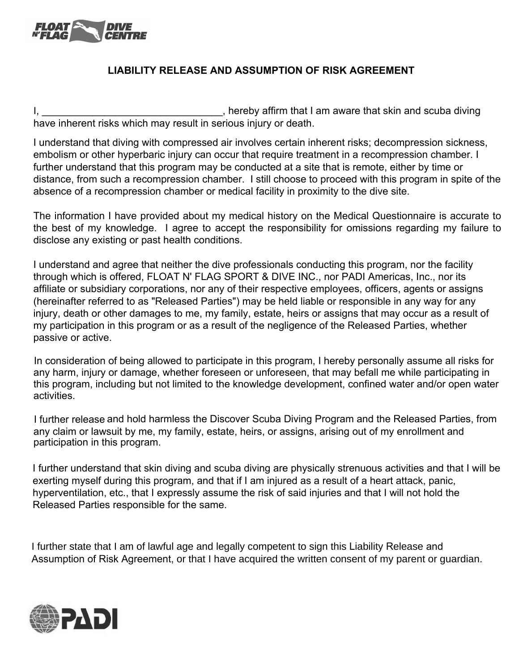

#### **LIABILITY RELEASE AND ASSUMPTION OF RISK AGREEMENT**

I, \_\_\_\_\_\_\_\_\_\_\_\_\_\_\_\_\_\_\_\_\_\_\_\_\_\_\_\_\_\_\_\_\_\_\_, hereby affirm that I am aware that skin and scuba diving have inherent risks which may result in serious injury or death.

I understand that diving with compressed air involves certain inherent risks; decompression sickness, embolism or other hyperbaric injury can occur that require treatment in a recompression chamber. I further understand that this program may be conducted at a site that is remote, either by time or distance, from such a recompression chamber. I still choose to proceed with this program in spite of the absence of a recompression chamber or medical facility in proximity to the dive site.

The information I have provided about my medical history on the Medical Questionnaire is accurate to the best of my knowledge. I agree to accept the responsibility for omissions regarding my failure to disclose any existing or past health conditions.

I understand and agree that neither the dive professionals conducting this program, nor the facility through which is offered, FLOAT N' FLAG SPORT & DIVE INC., nor PADI Americas, Inc., nor its affiliate or subsidiary corporations, nor any of their respective employees, officers, agents or assigns (hereinafter referred to as "Released Parties") may be held liable or responsible in any way for any injury, death or other damages to me, my family, estate, heirs or assigns that may occur as a result of my participation in this program or as a result of the negligence of the Released Parties, whether passive or active.

In consideration of being allowed to participate in this program, I hereby personally assume all risks for any harm, injury or damage, whether foreseen or unforeseen, that may befall me while participating in this program, including but not limited to the knowledge development, confined water and/or open water activities.

I further release and hold harmless the Discover Scuba Diving Program and the Released Parties, from any claim or lawsuit by me, my family, estate, heirs, or assigns, arising out of my enrollment and participation in this program.

I further understand that skin diving and scuba diving are physically strenuous activities and that I will be exerting myself during this program, and that if I am injured as a result of a heart attack, panic, hyperventilation, etc., that I expressly assume the risk of said injuries and that I will not hold the Released Parties responsible for the same.

I further state that I am of lawful age and legally competent to sign this Liability Release and Assumption of Risk Agreement, or that I have acquired the written consent of my parent or guardian.

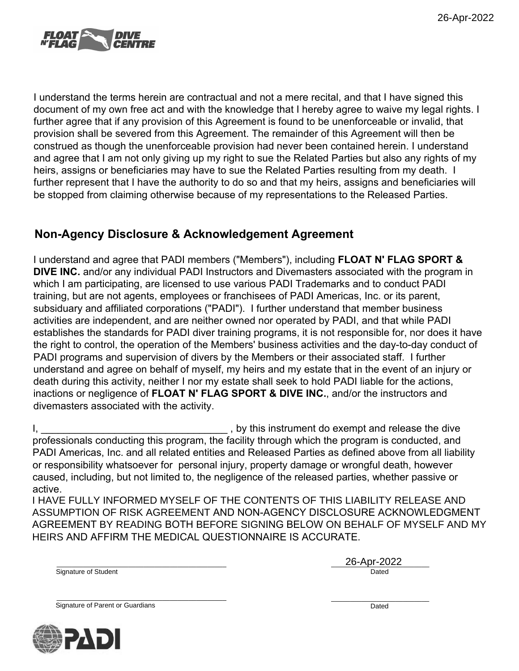

I understand the terms herein are contractual and not a mere recital, and that I have signed this document of my own free act and with the knowledge that I hereby agree to waive my legal rights. I further agree that if any provision of this Agreement is found to be unenforceable or invalid, that provision shall be severed from this Agreement. The remainder of this Agreement will then be construed as though the unenforceable provision had never been contained herein. I understand and agree that I am not only giving up my right to sue the Related Parties but also any rights of my heirs, assigns or beneficiaries may have to sue the Related Parties resulting from my death. I further represent that I have the authority to do so and that my heirs, assigns and beneficiaries will be stopped from claiming otherwise because of my representations to the Released Parties.

### **Non-Agency Disclosure & Acknowledgement Agreement**

I understand and agree that PADI members ("Members"), including **FLOAT N' FLAG SPORT & DIVE INC.** and/or any individual PADI Instructors and Divemasters associated with the program in which I am participating, are licensed to use various PADI Trademarks and to conduct PADI training, but are not agents, employees or franchisees of PADI Americas, Inc. or its parent, subsiduary and affiliated corporations ("PADI"). I further understand that member business activities are independent, and are neither owned nor operated by PADI, and that while PADI establishes the standards for PADI diver training programs, it is not responsible for, nor does it have the right to control, the operation of the Members' business activities and the day-to-day conduct of PADI programs and supervision of divers by the Members or their associated staff. I further understand and agree on behalf of myself, my heirs and my estate that in the event of an injury or death during this activity, neither I nor my estate shall seek to hold PADI liable for the actions, inactions or negligence of **FLOAT N' FLAG SPORT & DIVE INC.**, and/or the instructors and divemasters associated with the activity.

I, \_\_\_\_\_\_\_\_\_\_\_\_\_\_\_\_\_\_\_\_\_\_\_\_\_\_\_\_\_\_\_\_\_ , by this instrument do exempt and release the dive professionals conducting this program, the facility through which the program is conducted, and PADI Americas, Inc. and all related entities and Released Parties as defined above from all liability or responsibility whatsoever for personal injury, property damage or wrongful death, however caused, including, but not limited to, the negligence of the released parties, whether passive or active.

I HAVE FULLY INFORMED MYSELF OF THE CONTENTS OF THIS LIABILITY RELEASE AND ASSUMPTION OF RISK AGREEMENT AND NON-AGENCY DISCLOSURE ACKNOWLEDGMENT AGREEMENT BY READING BOTH BEFORE SIGNING BELOW ON BEHALF OF MYSELF AND MY HEIRS AND AFFIRM THE MEDICAL QUESTIONNAIRE IS ACCURATE.

Signature of Student Dated Number of Student Control of Student Dated Number of Student Dated Number of Student

\_\_\_\_\_\_\_\_\_\_\_\_\_\_\_\_\_\_\_\_\_\_\_\_\_\_\_\_\_\_\_\_\_\_\_\_\_\_\_\_\_\_\_\_\_ \_\_\_\_\_\_\_\_\_\_\_\_\_\_\_\_\_\_\_\_\_\_\_\_\_\_ 26-Apr-2022

\_\_\_\_\_\_\_\_\_\_\_\_\_\_\_\_\_\_\_\_\_\_\_\_\_\_\_\_\_\_\_\_\_\_\_\_\_\_\_\_\_\_\_\_\_ \_\_\_\_\_\_\_\_\_\_\_\_\_\_\_\_\_\_\_\_\_\_\_\_\_\_ Signature of Parent or Guardians **Dated Contract of Parent Contract of Parent Contract of Parent Contract of Parent Contract of Parent Contract of Parent Contract of Parent Contract of Parent Contract of Parent Contract** 

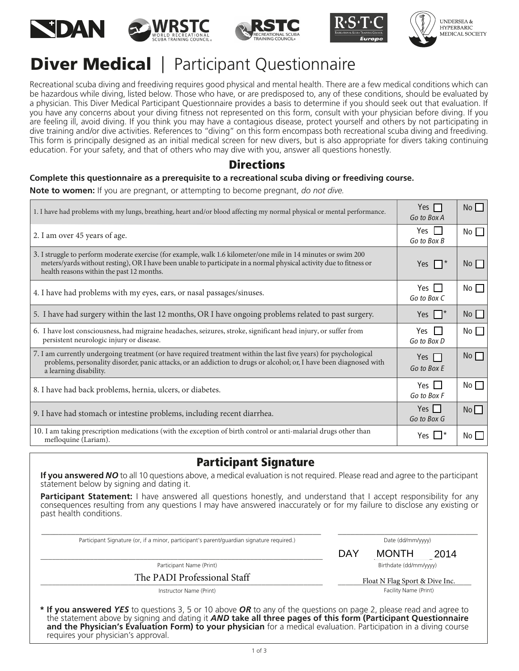









## **Diver Medical** | Participant Questionnaire

Recreational scuba diving and freediving requires good physical and mental health. There are a few medical conditions which can be hazardous while diving, listed below. Those who have, or are predisposed to, any of these conditions, should be evaluated by a physician. This Diver Medical Participant Questionnaire provides a basis to determine if you should seek out that evaluation. If you have any concerns about your diving ftness not represented on this form, consult with your physician before diving. If you are feeling ill, avoid diving. If you think you may have a contagious disease, protect yourself and others by not participating in dive training and/or dive activities. References to "diving" on this form encompass both recreational scuba diving and freediving. This form is principally designed as an initial medical screen for new divers, but is also appropriate for divers taking continuing education. For your safety, and that of others who may dive with you, answer all questions honestly.

#### **Directions**

#### **Complete this questionnaire as a prerequisite to a recreational scuba diving or freediving course.**

**Note to women:** If you are pregnant, or attempting to become pregnant, *do not dive.*

| 1. I have had problems with my lungs, breathing, heart and/or blood affecting my normal physical or mental performance.                                                                                                                                                            | Yes $\Box$<br>Go to Box A   | No                   |
|------------------------------------------------------------------------------------------------------------------------------------------------------------------------------------------------------------------------------------------------------------------------------------|-----------------------------|----------------------|
| 2. I am over 45 years of age.                                                                                                                                                                                                                                                      | $Yes$ $\Box$<br>Go to Box B | No                   |
| 3. I struggle to perform moderate exercise (for example, walk 1.6 kilometer/one mile in 14 minutes or swim 200<br>meters/yards without resting), OR I have been unable to participate in a normal physical activity due to fitness or<br>health reasons within the past 12 months. | Yes $\Box^*$                | No                   |
| 4. I have had problems with my eyes, ears, or nasal passages/sinuses.                                                                                                                                                                                                              | Yes II<br>Go to Box C       | No                   |
| 5. I have had surgery within the last 12 months, OR I have ongoing problems related to past surgery.                                                                                                                                                                               | Yes $\Box^*$                | No                   |
| 6. I have lost consciousness, had migraine headaches, seizures, stroke, significant head injury, or suffer from<br>persistent neurologic injury or disease.                                                                                                                        | Yes $\Box$<br>Go to Box D   | No                   |
| 7. I am currently undergoing treatment (or have required treatment within the last five years) for psychological<br>problems, personality disorder, panic attacks, or an addiction to drugs or alcohol; or, I have been diagnosed with<br>a learning disability.                   | Yes $\Box$<br>Go to Box E   | $No \nightharpoonup$ |
| 8. I have had back problems, hernia, ulcers, or diabetes.                                                                                                                                                                                                                          | Yes $\Box$<br>Go to Box F   | No                   |
| 9. I have had stomach or intestine problems, including recent diarrhea.                                                                                                                                                                                                            | Yes $\Box$<br>Go to Box G   | No                   |
| 10. I am taking prescription medications (with the exception of birth control or anti-malarial drugs other than<br>mefloquine (Lariam).                                                                                                                                            | Yes $\Box^*$                | No L                 |

### Participant Signature

**If you answered** *NO* to all 10 questions above, a medical evaluation is not required. Please read and agree to the participant statement below by signing and dating it.

**Participant Statement:** I have answered all questions honestly, and understand that I accept responsibility for any consequences resulting from any questions I may have answered inaccurately or for my failure to disclose any existing or past health conditions.

\_\_\_\_\_\_\_\_\_\_\_\_\_\_\_\_\_\_\_\_\_\_\_\_\_\_\_\_\_\_\_\_\_\_\_\_\_\_\_\_\_\_\_\_\_\_\_\_\_\_\_\_\_\_\_\_\_\_\_\_\_\_\_\_\_\_ \_\_\_\_\_\_\_\_\_\_\_\_\_\_\_\_\_\_\_\_\_\_\_\_\_\_\_\_\_\_\_\_\_

Participant Signature (or, if a minor, participant's parent/guardian signature required.) Date (dd/mm/yyyy) Date (dd/mm/yyyy)

\_\_\_\_\_\_\_\_\_\_\_\_\_\_\_\_\_\_\_\_\_\_\_\_\_\_\_\_\_\_\_\_\_\_\_\_\_\_\_\_\_\_\_\_\_\_\_\_\_\_\_\_\_\_\_\_\_\_\_\_\_\_\_\_\_\_\_\_\_\_\_\_\_\_ \_\_\_\_\_\_\_\_\_\_\_\_\_\_\_\_\_\_\_\_\_\_\_\_\_\_\_\_\_\_\_\_\_\_\_\_ DAY MONTH 2014

Participant Name (Print) **Birthdate (dd/mm/yyyy)** Birthdate (dd/mm/yyyy)

The PADI Professional Staff

Instructor Name (Print)

Float N Flag Sport & Dive Inc. Facility Name (Print)

**\* If you answered** *YES* to questions 3, 5 or 10 above *OR* to any of the questions on page 2, please read and agree to the statement above by signing and dating it *AND* **take all three pages of this form (Participant Questionnaire and the Physician's Evaluation Form) to your physician** for a medical evaluation. Participation in a diving course requires your physician's approval.